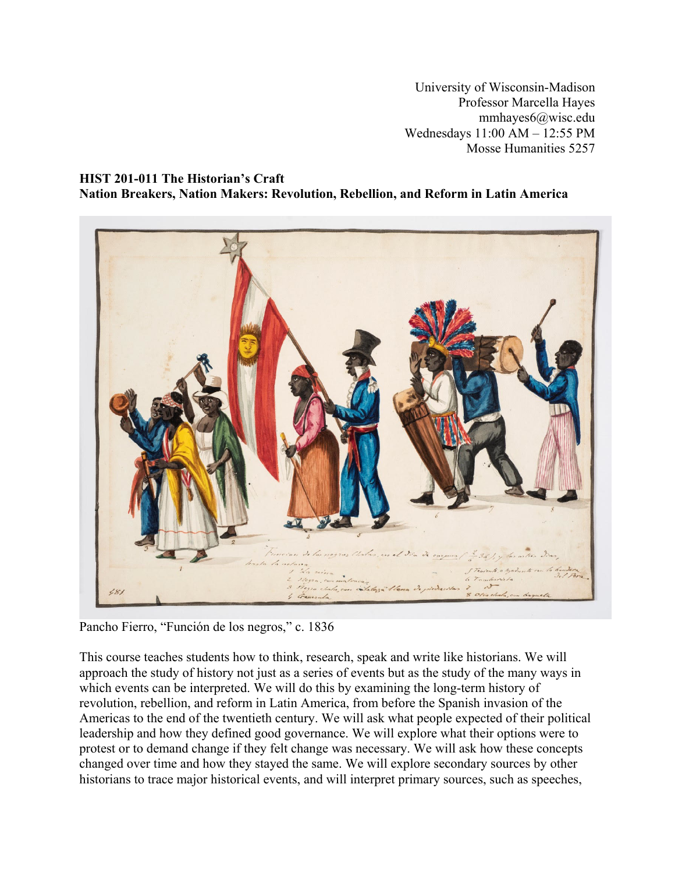University of Wisconsin-Madison Professor Marcella Hayes mmhayes6@wisc.edu Wednesdays 11:00 AM – 12:55 PM Mosse Humanities 5257

## **HIST 201-011 The Historian's Craft Nation Breakers, Nation Makers: Revolution, Rebellion, and Reform in Latin America**



Pancho Fierro, "Función de los negros," c. 1836

This course teaches students how to think, research, speak and write like historians. We will approach the study of history not just as a series of events but as the study of the many ways in which events can be interpreted. We will do this by examining the long-term history of revolution, rebellion, and reform in Latin America, from before the Spanish invasion of the Americas to the end of the twentieth century. We will ask what people expected of their political leadership and how they defined good governance. We will explore what their options were to protest or to demand change if they felt change was necessary. We will ask how these concepts changed over time and how they stayed the same. We will explore secondary sources by other historians to trace major historical events, and will interpret primary sources, such as speeches,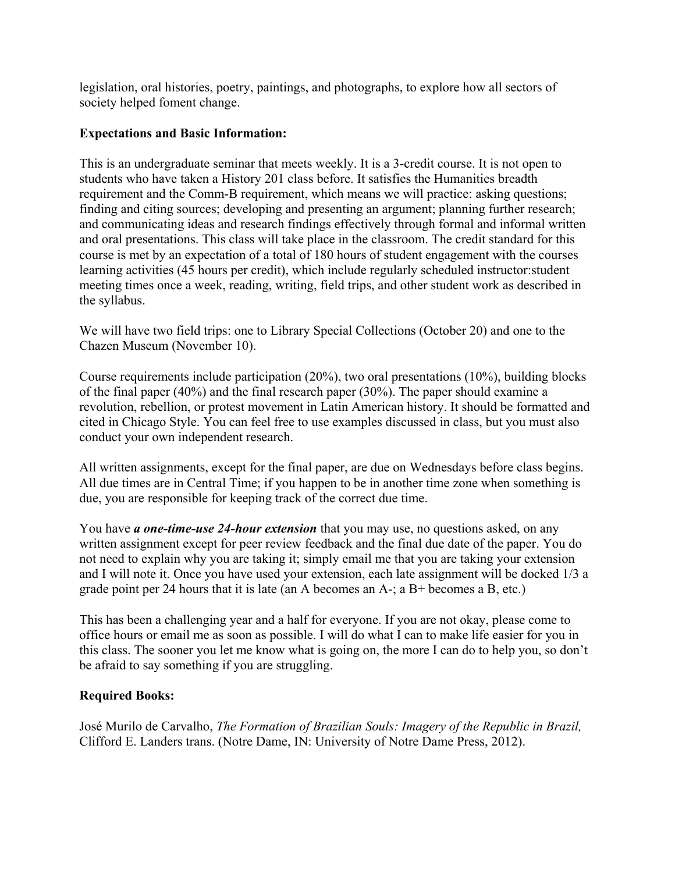legislation, oral histories, poetry, paintings, and photographs, to explore how all sectors of society helped foment change.

# **Expectations and Basic Information:**

This is an undergraduate seminar that meets weekly. It is a 3-credit course. It is not open to students who have taken a History 201 class before. It satisfies the Humanities breadth requirement and the Comm-B requirement, which means we will practice: asking questions; finding and citing sources; developing and presenting an argument; planning further research; and communicating ideas and research findings effectively through formal and informal written and oral presentations. This class will take place in the classroom. The credit standard for this course is met by an expectation of a total of 180 hours of student engagement with the courses learning activities (45 hours per credit), which include regularly scheduled instructor:student meeting times once a week, reading, writing, field trips, and other student work as described in the syllabus.

We will have two field trips: one to Library Special Collections (October 20) and one to the Chazen Museum (November 10).

Course requirements include participation (20%), two oral presentations (10%), building blocks of the final paper (40%) and the final research paper (30%). The paper should examine a revolution, rebellion, or protest movement in Latin American history. It should be formatted and cited in Chicago Style. You can feel free to use examples discussed in class, but you must also conduct your own independent research.

All written assignments, except for the final paper, are due on Wednesdays before class begins. All due times are in Central Time; if you happen to be in another time zone when something is due, you are responsible for keeping track of the correct due time.

You have *a one-time-use 24-hour extension* that you may use, no questions asked, on any written assignment except for peer review feedback and the final due date of the paper. You do not need to explain why you are taking it; simply email me that you are taking your extension and I will note it. Once you have used your extension, each late assignment will be docked 1/3 a grade point per 24 hours that it is late (an A becomes an A-; a B+ becomes a B, etc.)

This has been a challenging year and a half for everyone. If you are not okay, please come to office hours or email me as soon as possible. I will do what I can to make life easier for you in this class. The sooner you let me know what is going on, the more I can do to help you, so don't be afraid to say something if you are struggling.

# **Required Books:**

José Murilo de Carvalho, *The Formation of Brazilian Souls: Imagery of the Republic in Brazil,*  Clifford E. Landers trans. (Notre Dame, IN: University of Notre Dame Press, 2012).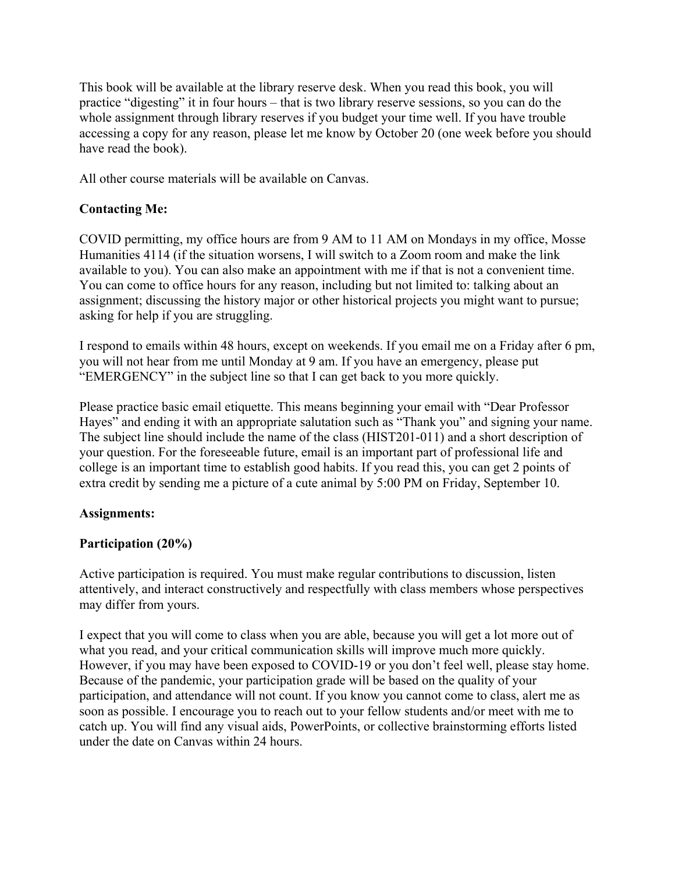This book will be available at the library reserve desk. When you read this book, you will practice "digesting" it in four hours – that is two library reserve sessions, so you can do the whole assignment through library reserves if you budget your time well. If you have trouble accessing a copy for any reason, please let me know by October 20 (one week before you should have read the book).

All other course materials will be available on Canvas.

# **Contacting Me:**

COVID permitting, my office hours are from 9 AM to 11 AM on Mondays in my office, Mosse Humanities 4114 (if the situation worsens, I will switch to a Zoom room and make the link available to you). You can also make an appointment with me if that is not a convenient time. You can come to office hours for any reason, including but not limited to: talking about an assignment; discussing the history major or other historical projects you might want to pursue; asking for help if you are struggling.

I respond to emails within 48 hours, except on weekends. If you email me on a Friday after 6 pm, you will not hear from me until Monday at 9 am. If you have an emergency, please put "EMERGENCY" in the subject line so that I can get back to you more quickly.

Please practice basic email etiquette. This means beginning your email with "Dear Professor Hayes" and ending it with an appropriate salutation such as "Thank you" and signing your name. The subject line should include the name of the class (HIST201-011) and a short description of your question. For the foreseeable future, email is an important part of professional life and college is an important time to establish good habits. If you read this, you can get 2 points of extra credit by sending me a picture of a cute animal by 5:00 PM on Friday, September 10.

# **Assignments:**

# **Participation (20%)**

Active participation is required. You must make regular contributions to discussion, listen attentively, and interact constructively and respectfully with class members whose perspectives may differ from yours.

I expect that you will come to class when you are able, because you will get a lot more out of what you read, and your critical communication skills will improve much more quickly. However, if you may have been exposed to COVID-19 or you don't feel well, please stay home. Because of the pandemic, your participation grade will be based on the quality of your participation, and attendance will not count. If you know you cannot come to class, alert me as soon as possible. I encourage you to reach out to your fellow students and/or meet with me to catch up. You will find any visual aids, PowerPoints, or collective brainstorming efforts listed under the date on Canvas within 24 hours.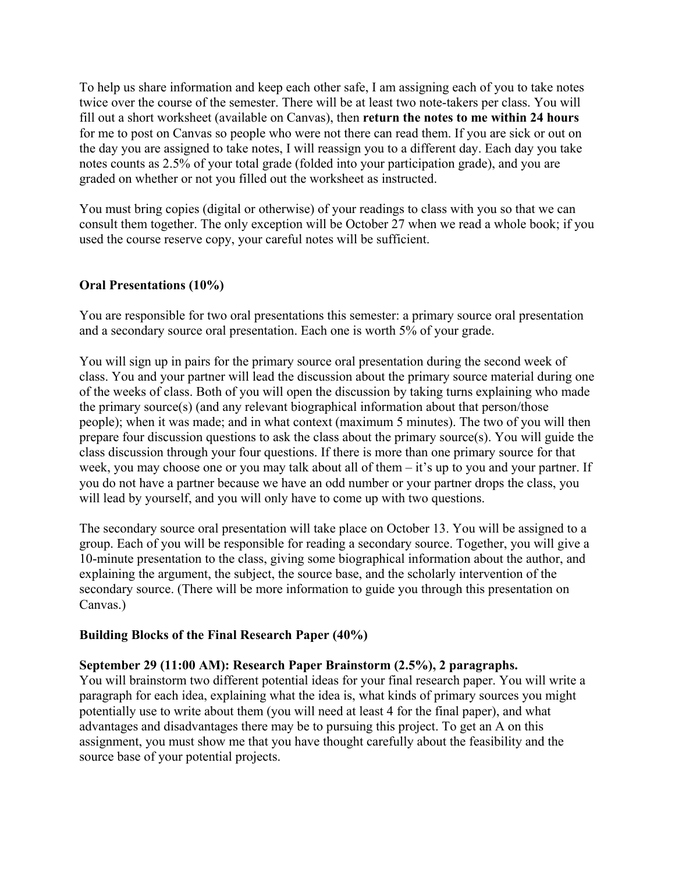To help us share information and keep each other safe, I am assigning each of you to take notes twice over the course of the semester. There will be at least two note-takers per class. You will fill out a short worksheet (available on Canvas), then **return the notes to me within 24 hours** for me to post on Canvas so people who were not there can read them. If you are sick or out on the day you are assigned to take notes, I will reassign you to a different day. Each day you take notes counts as 2.5% of your total grade (folded into your participation grade), and you are graded on whether or not you filled out the worksheet as instructed.

You must bring copies (digital or otherwise) of your readings to class with you so that we can consult them together. The only exception will be October 27 when we read a whole book; if you used the course reserve copy, your careful notes will be sufficient.

# **Oral Presentations (10%)**

You are responsible for two oral presentations this semester: a primary source oral presentation and a secondary source oral presentation. Each one is worth 5% of your grade.

You will sign up in pairs for the primary source oral presentation during the second week of class. You and your partner will lead the discussion about the primary source material during one of the weeks of class. Both of you will open the discussion by taking turns explaining who made the primary source(s) (and any relevant biographical information about that person/those people); when it was made; and in what context (maximum 5 minutes). The two of you will then prepare four discussion questions to ask the class about the primary source(s). You will guide the class discussion through your four questions. If there is more than one primary source for that week, you may choose one or you may talk about all of them – it's up to you and your partner. If you do not have a partner because we have an odd number or your partner drops the class, you will lead by yourself, and you will only have to come up with two questions.

The secondary source oral presentation will take place on October 13. You will be assigned to a group. Each of you will be responsible for reading a secondary source. Together, you will give a 10-minute presentation to the class, giving some biographical information about the author, and explaining the argument, the subject, the source base, and the scholarly intervention of the secondary source. (There will be more information to guide you through this presentation on Canvas.)

## **Building Blocks of the Final Research Paper (40%)**

## **September 29 (11:00 AM): Research Paper Brainstorm (2.5%), 2 paragraphs.**

You will brainstorm two different potential ideas for your final research paper. You will write a paragraph for each idea, explaining what the idea is, what kinds of primary sources you might potentially use to write about them (you will need at least 4 for the final paper), and what advantages and disadvantages there may be to pursuing this project. To get an A on this assignment, you must show me that you have thought carefully about the feasibility and the source base of your potential projects.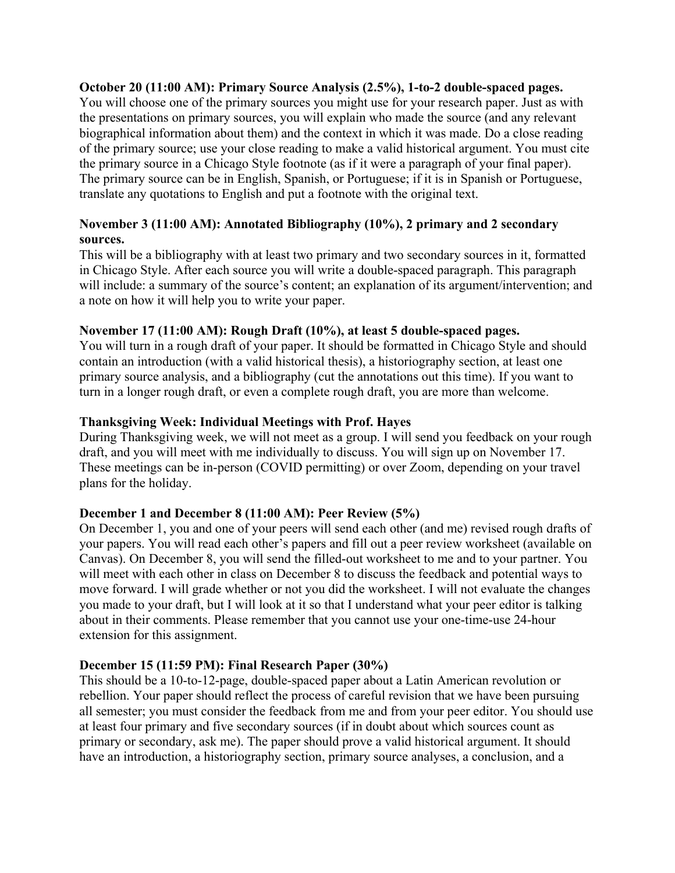## **October 20 (11:00 AM): Primary Source Analysis (2.5%), 1-to-2 double-spaced pages.**

You will choose one of the primary sources you might use for your research paper. Just as with the presentations on primary sources, you will explain who made the source (and any relevant biographical information about them) and the context in which it was made. Do a close reading of the primary source; use your close reading to make a valid historical argument. You must cite the primary source in a Chicago Style footnote (as if it were a paragraph of your final paper). The primary source can be in English, Spanish, or Portuguese; if it is in Spanish or Portuguese, translate any quotations to English and put a footnote with the original text.

# **November 3 (11:00 AM): Annotated Bibliography (10%), 2 primary and 2 secondary sources.**

This will be a bibliography with at least two primary and two secondary sources in it, formatted in Chicago Style. After each source you will write a double-spaced paragraph. This paragraph will include: a summary of the source's content; an explanation of its argument/intervention; and a note on how it will help you to write your paper.

## **November 17 (11:00 AM): Rough Draft (10%), at least 5 double-spaced pages.**

You will turn in a rough draft of your paper. It should be formatted in Chicago Style and should contain an introduction (with a valid historical thesis), a historiography section, at least one primary source analysis, and a bibliography (cut the annotations out this time). If you want to turn in a longer rough draft, or even a complete rough draft, you are more than welcome.

## **Thanksgiving Week: Individual Meetings with Prof. Hayes**

During Thanksgiving week, we will not meet as a group. I will send you feedback on your rough draft, and you will meet with me individually to discuss. You will sign up on November 17. These meetings can be in-person (COVID permitting) or over Zoom, depending on your travel plans for the holiday.

# **December 1 and December 8 (11:00 AM): Peer Review (5%)**

On December 1, you and one of your peers will send each other (and me) revised rough drafts of your papers. You will read each other's papers and fill out a peer review worksheet (available on Canvas). On December 8, you will send the filled-out worksheet to me and to your partner. You will meet with each other in class on December 8 to discuss the feedback and potential ways to move forward. I will grade whether or not you did the worksheet. I will not evaluate the changes you made to your draft, but I will look at it so that I understand what your peer editor is talking about in their comments. Please remember that you cannot use your one-time-use 24-hour extension for this assignment.

## **December 15 (11:59 PM): Final Research Paper (30%)**

This should be a 10-to-12-page, double-spaced paper about a Latin American revolution or rebellion. Your paper should reflect the process of careful revision that we have been pursuing all semester; you must consider the feedback from me and from your peer editor. You should use at least four primary and five secondary sources (if in doubt about which sources count as primary or secondary, ask me). The paper should prove a valid historical argument. It should have an introduction, a historiography section, primary source analyses, a conclusion, and a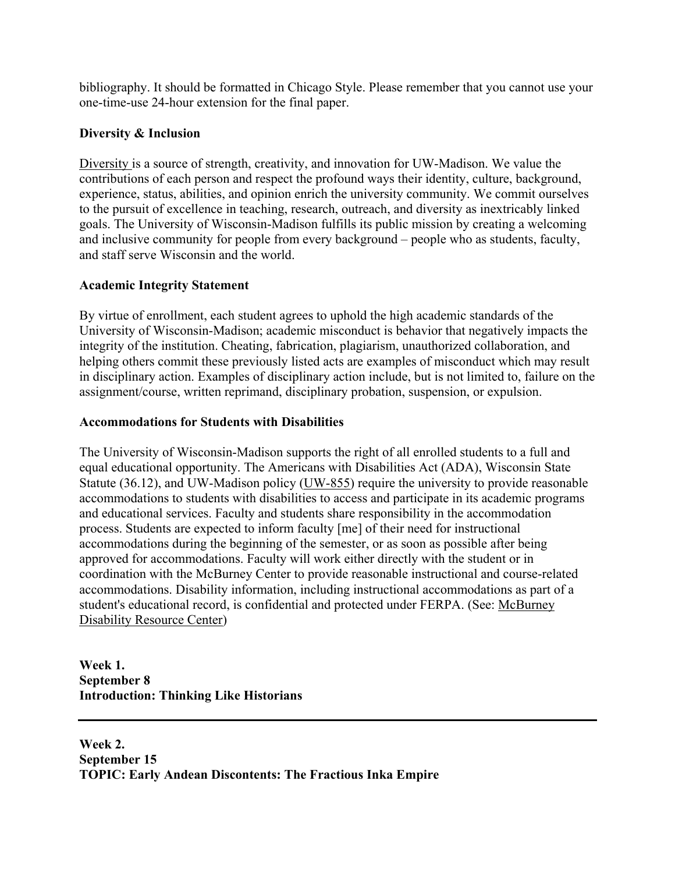bibliography. It should be formatted in Chicago Style. Please remember that you cannot use your one-time-use 24-hour extension for the final paper.

# **Diversity & Inclusion**

Diversity is a source of strength, creativity, and innovation for UW-Madison. We value the contributions of each person and respect the profound ways their identity, culture, background, experience, status, abilities, and opinion enrich the university community. We commit ourselves to the pursuit of excellence in teaching, research, outreach, and diversity as inextricably linked goals. The University of Wisconsin-Madison fulfills its public mission by creating a welcoming and inclusive community for people from every background – people who as students, faculty, and staff serve Wisconsin and the world.

# **Academic Integrity Statement**

By virtue of enrollment, each student agrees to uphold the high academic standards of the University of Wisconsin-Madison; academic misconduct is behavior that negatively impacts the integrity of the institution. Cheating, fabrication, plagiarism, unauthorized collaboration, and helping others commit these previously listed acts are examples of misconduct which may result in disciplinary action. Examples of disciplinary action include, but is not limited to, failure on the assignment/course, written reprimand, disciplinary probation, suspension, or expulsion.

# **Accommodations for Students with Disabilities**

The University of Wisconsin-Madison supports the right of all enrolled students to a full and equal educational opportunity. The Americans with Disabilities Act (ADA), Wisconsin State Statute (36.12), and UW-Madison policy (UW-855) require the university to provide reasonable accommodations to students with disabilities to access and participate in its academic programs and educational services. Faculty and students share responsibility in the accommodation process. Students are expected to inform faculty [me] of their need for instructional accommodations during the beginning of the semester, or as soon as possible after being approved for accommodations. Faculty will work either directly with the student or in coordination with the McBurney Center to provide reasonable instructional and course-related accommodations. Disability information, including instructional accommodations as part of a student's educational record, is confidential and protected under FERPA. (See: McBurney Disability Resource Center)

**Week 1. September 8 Introduction: Thinking Like Historians**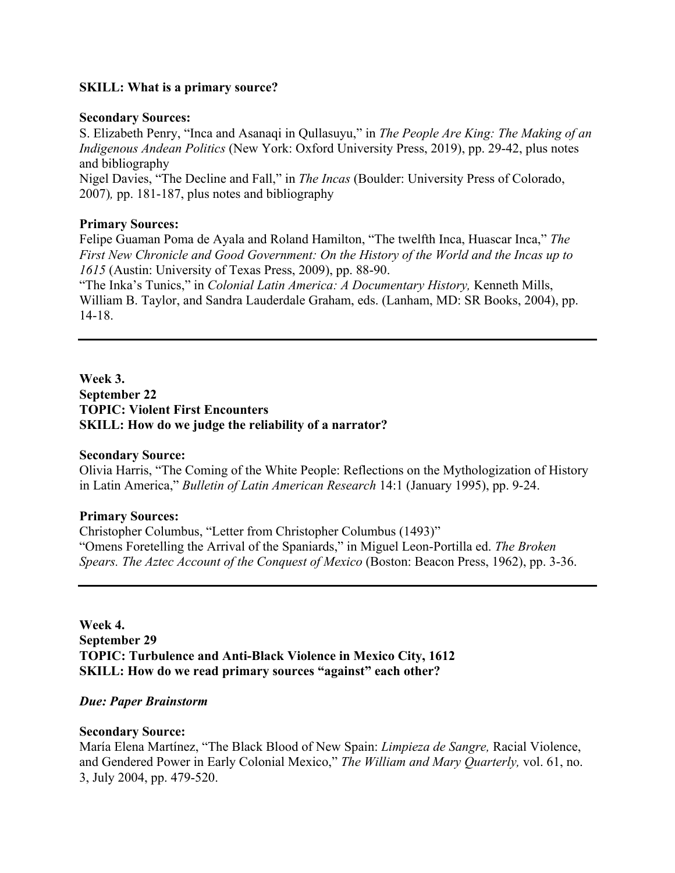## **SKILL: What is a primary source?**

### **Secondary Sources:**

S. Elizabeth Penry, "Inca and Asanaqi in Qullasuyu," in *The People Are King: The Making of an Indigenous Andean Politics* (New York: Oxford University Press, 2019), pp. 29-42, plus notes and bibliography

Nigel Davies, "The Decline and Fall," in *The Incas* (Boulder: University Press of Colorado, 2007)*,* pp. 181-187, plus notes and bibliography

## **Primary Sources:**

Felipe Guaman Poma de Ayala and Roland Hamilton, "The twelfth Inca, Huascar Inca," *The First New Chronicle and Good Government: On the History of the World and the Incas up to 1615* (Austin: University of Texas Press, 2009), pp. 88-90.

"The Inka's Tunics," in *Colonial Latin America: A Documentary History,* Kenneth Mills, William B. Taylor, and Sandra Lauderdale Graham, eds. (Lanham, MD: SR Books, 2004), pp. 14-18.

**Week 3. September 22 TOPIC: Violent First Encounters SKILL: How do we judge the reliability of a narrator?** 

## **Secondary Source:**

Olivia Harris, "The Coming of the White People: Reflections on the Mythologization of History in Latin America," *Bulletin of Latin American Research* 14:1 (January 1995), pp. 9-24.

## **Primary Sources:**

Christopher Columbus, "Letter from Christopher Columbus (1493)" "Omens Foretelling the Arrival of the Spaniards," in Miguel Leon-Portilla ed. *The Broken Spears. The Aztec Account of the Conquest of Mexico* (Boston: Beacon Press, 1962), pp. 3-36.

**Week 4. September 29 TOPIC: Turbulence and Anti-Black Violence in Mexico City, 1612 SKILL: How do we read primary sources "against" each other?** 

#### *Due: Paper Brainstorm*

#### **Secondary Source:**

María Elena Martínez, "The Black Blood of New Spain: *Limpieza de Sangre,* Racial Violence, and Gendered Power in Early Colonial Mexico," *The William and Mary Quarterly,* vol. 61, no. 3, July 2004, pp. 479-520.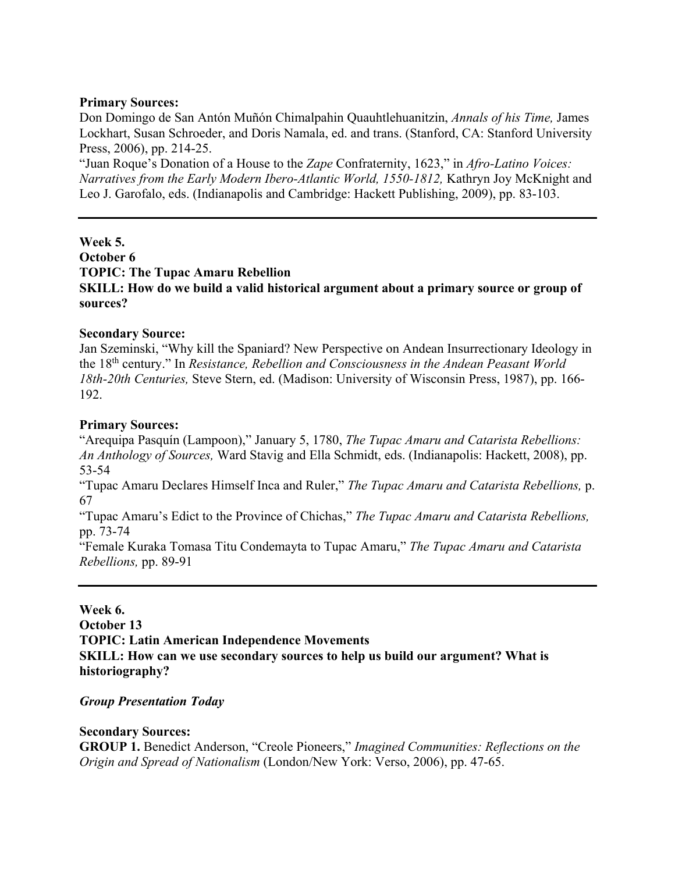## **Primary Sources:**

Don Domingo de San Antón Muñón Chimalpahin Quauhtlehuanitzin, *Annals of his Time,* James Lockhart, Susan Schroeder, and Doris Namala, ed. and trans. (Stanford, CA: Stanford University Press, 2006), pp. 214-25.

"Juan Roque's Donation of a House to the *Zape* Confraternity, 1623," in *Afro-Latino Voices: Narratives from the Early Modern Ibero-Atlantic World, 1550-1812, Kathryn Joy McKnight and* Leo J. Garofalo, eds. (Indianapolis and Cambridge: Hackett Publishing, 2009), pp. 83-103.

**Week 5. October 6 TOPIC: The Tupac Amaru Rebellion SKILL: How do we build a valid historical argument about a primary source or group of sources?** 

## **Secondary Source:**

Jan Szeminski, "Why kill the Spaniard? New Perspective on Andean Insurrectionary Ideology in the 18th century." In *Resistance, Rebellion and Consciousness in the Andean Peasant World 18th-20th Centuries,* Steve Stern, ed. (Madison: University of Wisconsin Press, 1987), pp. 166- 192.

## **Primary Sources:**

"Arequipa Pasquín (Lampoon)," January 5, 1780, *The Tupac Amaru and Catarista Rebellions: An Anthology of Sources,* Ward Stavig and Ella Schmidt, eds. (Indianapolis: Hackett, 2008), pp. 53-54

"Tupac Amaru Declares Himself Inca and Ruler," *The Tupac Amaru and Catarista Rebellions,* p. 67

"Tupac Amaru's Edict to the Province of Chichas," *The Tupac Amaru and Catarista Rebellions,*  pp. 73-74

"Female Kuraka Tomasa Titu Condemayta to Tupac Amaru," *The Tupac Amaru and Catarista Rebellions,* pp. 89-91

## **Week 6.**

**October 13** 

**TOPIC: Latin American Independence Movements** 

**SKILL: How can we use secondary sources to help us build our argument? What is historiography?** 

## *Group Presentation Today*

## **Secondary Sources:**

**GROUP 1.** Benedict Anderson, "Creole Pioneers," *Imagined Communities: Reflections on the Origin and Spread of Nationalism* (London/New York: Verso, 2006), pp. 47-65.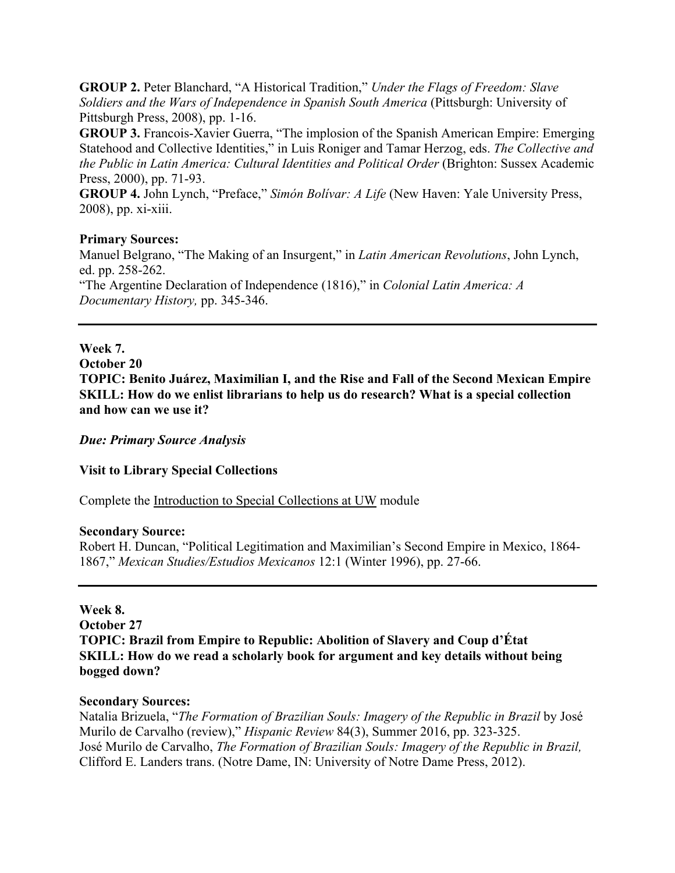**GROUP 2.** Peter Blanchard, "A Historical Tradition," *Under the Flags of Freedom: Slave Soldiers and the Wars of Independence in Spanish South America* (Pittsburgh: University of Pittsburgh Press, 2008), pp. 1-16.

**GROUP 3.** Francois-Xavier Guerra, "The implosion of the Spanish American Empire: Emerging Statehood and Collective Identities," in Luis Roniger and Tamar Herzog, eds. *The Collective and the Public in Latin America: Cultural Identities and Political Order* (Brighton: Sussex Academic Press, 2000), pp. 71-93.

**GROUP 4.** John Lynch, "Preface," *Simón Bolívar: A Life* (New Haven: Yale University Press, 2008), pp. xi-xiii.

## **Primary Sources:**

Manuel Belgrano, "The Making of an Insurgent," in *Latin American Revolutions*, John Lynch, ed. pp. 258-262. "The Argentine Declaration of Independence (1816)," in *Colonial Latin America: A Documentary History,* pp. 345-346.

## **Week 7.**

**October 20** 

**TOPIC: Benito Juárez, Maximilian I, and the Rise and Fall of the Second Mexican Empire SKILL: How do we enlist librarians to help us do research? What is a special collection and how can we use it?** 

*Due: Primary Source Analysis* 

**Visit to Library Special Collections** 

Complete the Introduction to Special Collections at UW module

#### **Secondary Source:**

Robert H. Duncan, "Political Legitimation and Maximilian's Second Empire in Mexico, 1864- 1867," *Mexican Studies/Estudios Mexicanos* 12:1 (Winter 1996), pp. 27-66.

## **Week 8.**

**October 27 TOPIC: Brazil from Empire to Republic: Abolition of Slavery and Coup d'État SKILL: How do we read a scholarly book for argument and key details without being bogged down?** 

## **Secondary Sources:**

Natalia Brizuela, "*The Formation of Brazilian Souls: Imagery of the Republic in Brazil* by José Murilo de Carvalho (review)," *Hispanic Review* 84(3), Summer 2016, pp. 323-325. José Murilo de Carvalho, *The Formation of Brazilian Souls: Imagery of the Republic in Brazil,*  Clifford E. Landers trans. (Notre Dame, IN: University of Notre Dame Press, 2012).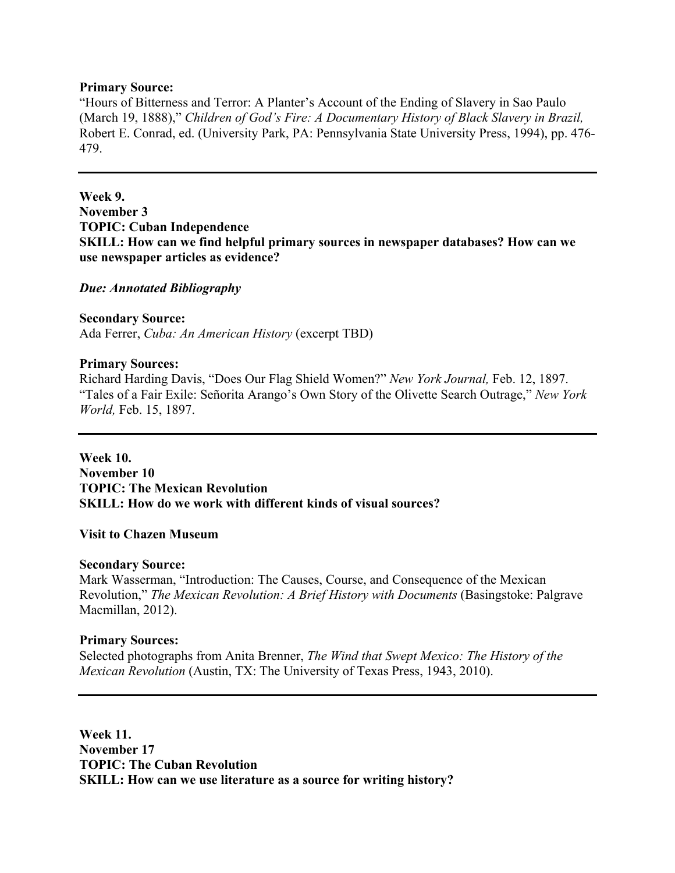### **Primary Source:**

"Hours of Bitterness and Terror: A Planter's Account of the Ending of Slavery in Sao Paulo (March 19, 1888)," *Children of God's Fire: A Documentary History of Black Slavery in Brazil,*  Robert E. Conrad, ed. (University Park, PA: Pennsylvania State University Press, 1994), pp. 476- 479.

# **Week 9. November 3 TOPIC: Cuban Independence SKILL: How can we find helpful primary sources in newspaper databases? How can we use newspaper articles as evidence?**

### *Due: Annotated Bibliography*

## **Secondary Source:**

Ada Ferrer, *Cuba: An American History* (excerpt TBD)

### **Primary Sources:**

Richard Harding Davis, "Does Our Flag Shield Women?" *New York Journal,* Feb. 12, 1897. "Tales of a Fair Exile: Señorita Arango's Own Story of the Olivette Search Outrage," *New York World,* Feb. 15, 1897.

**Week 10. November 10 TOPIC: The Mexican Revolution SKILL: How do we work with different kinds of visual sources?** 

#### **Visit to Chazen Museum**

#### **Secondary Source:**

Mark Wasserman, "Introduction: The Causes, Course, and Consequence of the Mexican Revolution," *The Mexican Revolution: A Brief History with Documents* (Basingstoke: Palgrave Macmillan, 2012).

## **Primary Sources:**

Selected photographs from Anita Brenner, *The Wind that Swept Mexico: The History of the Mexican Revolution* (Austin, TX: The University of Texas Press, 1943, 2010).

**Week 11. November 17 TOPIC: The Cuban Revolution SKILL: How can we use literature as a source for writing history?**